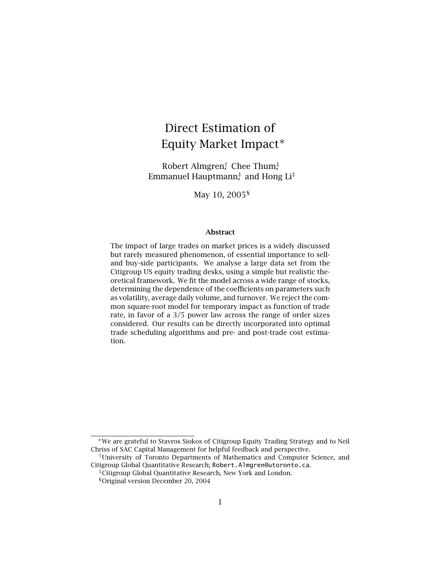# Direct Estimation of Equity Market Impact<sup>∗</sup>

Robert Almgren† , Chee Thum‡ , Emmanuel Hauptmann‡ , and Hong Li‡

May 10, 2005§

#### Abstract

The impact of large trades on market prices is a widely discussed but rarely measured phenomenon, of essential importance to selland buy-side participants. We analyse a large data set from the Citigroup US equity trading desks, using a simple but realistic theoretical framework. We fit the model across a wide range of stocks, determining the dependence of the coefficients on parameters such as volatility, average daily volume, and turnover. We reject the common square-root model for temporary impact as function of trade rate, in favor of a 3/5 power law across the range of order sizes considered. Our results can be directly incorporated into optimal trade scheduling algorithms and pre- and post-trade cost estimation.

<sup>∗</sup>We are grateful to Stavros Siokos of Citigroup Equity Trading Strategy and to Neil Chriss of SAC Capital Management for helpful feedback and perspective.

<sup>†</sup>University of Toronto Departments of Mathematics and Computer Science, and Citigroup Global Quantitative Research; Robert.Almgren@utoronto.ca.

<sup>‡</sup>Citigroup Global Quantitative Research, New York and London.

<sup>§</sup>Original version December 20, 2004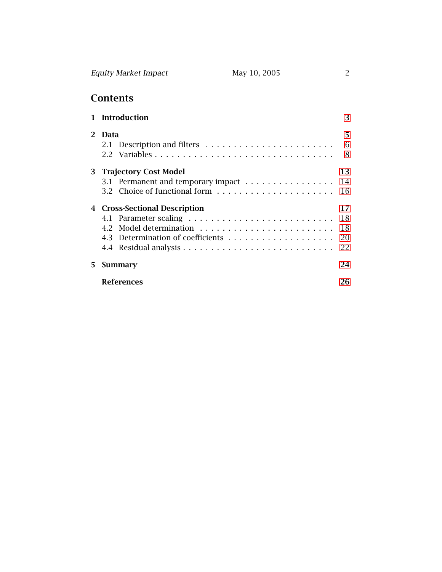| <b>Equity Market Impact</b> |  |
|-----------------------------|--|
|-----------------------------|--|

# **Contents**

| 1  | Introduction                                                       | 3                          |
|----|--------------------------------------------------------------------|----------------------------|
| 2  | Data                                                               | 5<br>6<br>8                |
| 3  | <b>Trajectory Cost Model</b><br>3.1 Permanent and temporary impact | 13<br>14<br>16             |
| 4  | <b>Cross-Sectional Description</b><br>4.1<br>42<br>4.4             | 17<br>18<br>18<br>20<br>22 |
| 5. | Summary                                                            | 24                         |
|    | <b>References</b>                                                  | 26                         |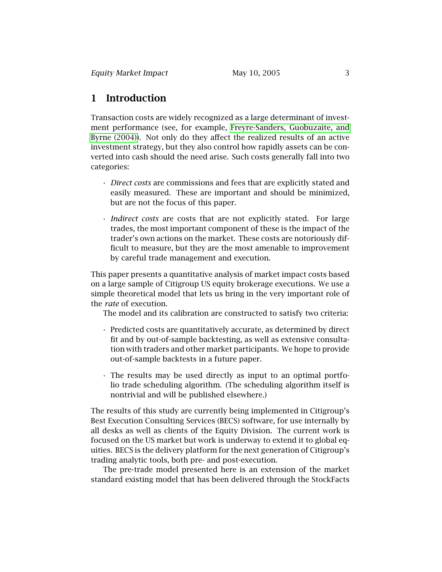## <span id="page-2-1"></span><span id="page-2-0"></span>1 Introduction

Transaction costs are widely recognized as a large determinant of investment performance (see, for example, [Freyre-Sanders, Guobuzaite, and](#page-25-0) [Byrne \(2004\)\)](#page-25-0). Not only do they affect the realized results of an active investment strategy, but they also control how rapidly assets can be converted into cash should the need arise. Such costs generally fall into two categories:

- *Direct costs* are commissions and fees that are explicitly stated and easily measured. These are important and should be minimized, but are not the focus of this paper.
- *Indirect costs* are costs that are not explicitly stated. For large trades, the most important component of these is the impact of the trader's own actions on the market. These costs are notoriously difficult to measure, but they are the most amenable to improvement by careful trade management and execution.

This paper presents a quantitative analysis of market impact costs based on a large sample of Citigroup US equity brokerage executions. We use a simple theoretical model that lets us bring in the very important role of the *rate* of execution.

The model and its calibration are constructed to satisfy two criteria:

- Predicted costs are quantitatively accurate, as determined by direct fit and by out-of-sample backtesting, as well as extensive consultation with traders and other market participants. We hope to provide out-of-sample backtests in a future paper.
- The results may be used directly as input to an optimal portfolio trade scheduling algorithm. (The scheduling algorithm itself is nontrivial and will be published elsewhere.)

The results of this study are currently being implemented in Citigroup's Best Execution Consulting Services (BECS) software, for use internally by all desks as well as clients of the Equity Division. The current work is focused on the US market but work is underway to extend it to global equities. BECS is the delivery platform for the next generation of Citigroup's trading analytic tools, both pre- and post-execution.

The pre-trade model presented here is an extension of the market standard existing model that has been delivered through the StockFacts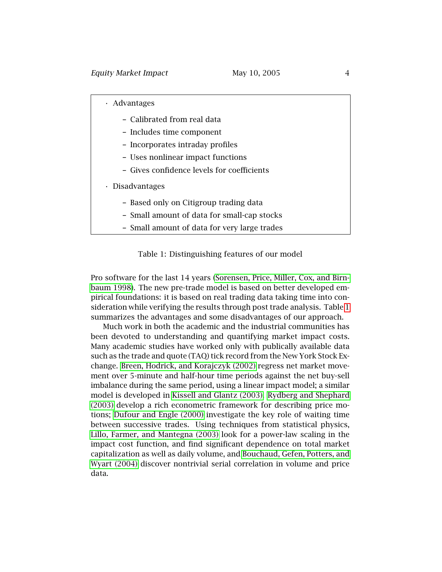## <span id="page-3-1"></span>• Advantages

- Calibrated from real data
- Includes time component
- Incorporates intraday profiles
- Uses nonlinear impact functions
- Gives confidence levels for coefficients
- Disadvantages
	- Based only on Citigroup trading data
	- Small amount of data for small-cap stocks
	- Small amount of data for very large trades

## <span id="page-3-0"></span>Table 1: Distinguishing features of our model

Pro software for the last 14 years [\(Sorensen, Price, Miller, Cox, and Birn](#page-25-1)[baum 1998\)](#page-25-1). The new pre-trade model is based on better developed empirical foundations: it is based on real trading data taking time into consideration while verifying the results through post trade analysis. Table [1](#page-3-0) summarizes the advantages and some disadvantages of our approach.

Much work in both the academic and the industrial communities has been devoted to understanding and quantifying market impact costs. Many academic studies have worked only with publically available data such as the trade and quote (TAQ) tick record from the New York Stock Exchange. [Breen, Hodrick, and Korajczyk \(2002\)](#page-25-2) regress net market movement over 5-minute and half-hour time periods against the net buy-sell imbalance during the same period, using a linear impact model; a similar model is developed in [Kissell and Glantz \(2003\).](#page-25-3) [Rydberg and Shephard](#page-25-4) [\(2003\)](#page-25-4) develop a rich econometric framework for describing price motions; [Dufour and Engle \(2000\)](#page-25-5) investigate the key role of waiting time between successive trades. Using techniques from statistical physics, [Lillo, Farmer, and Mantegna \(2003\)](#page-25-6) look for a power-law scaling in the impact cost function, and find significant dependence on total market capitalization as well as daily volume, and [Bouchaud, Gefen, Potters, and](#page-23-2) [Wyart \(2004\)](#page-23-2) discover nontrivial serial correlation in volume and price data.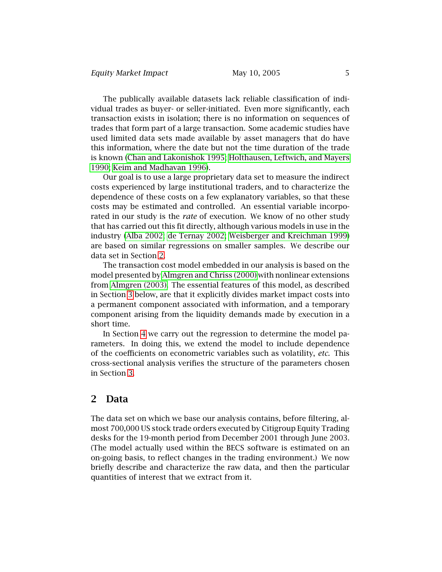<span id="page-4-1"></span>The publically available datasets lack reliable classification of individual trades as buyer- or seller-initiated. Even more significantly, each transaction exists in isolation; there is no information on sequences of trades that form part of a large transaction. Some academic studies have used limited data sets made available by asset managers that do have this information, where the date but not the time duration of the trade is known [\(Chan and Lakonishok 1995;](#page-25-7) [Holthausen, Leftwich, and Mayers](#page-25-8) [1990;](#page-25-8) [Keim and Madhavan 1996\)](#page-25-9).

Our goal is to use a large proprietary data set to measure the indirect costs experienced by large institutional traders, and to characterize the dependence of these costs on a few explanatory variables, so that these costs may be estimated and controlled. An essential variable incorporated in our study is the *rate* of execution. We know of no other study that has carried out this fit directly, although various models in use in the industry [\(Alba 2002;](#page-23-1) [de Ternay 2002;](#page-25-10) [Weisberger and Kreichman 1999\)](#page-25-11) are based on similar regressions on smaller samples. We describe our data set in Section [2.](#page-4-0)

The transaction cost model embedded in our analysis is based on the model presented by [Almgren and Chriss \(2000\)](#page-23-3) with nonlinear extensions from [Almgren \(2003\).](#page-23-4) The essential features of this model, as described in Section [3](#page-12-0) below, are that it explicitly divides market impact costs into a permanent component associated with information, and a temporary component arising from the liquidity demands made by execution in a short time.

In Section [4](#page-16-0) we carry out the regression to determine the model parameters. In doing this, we extend the model to include dependence of the coefficients on econometric variables such as volatility, *etc.* This cross-sectional analysis verifies the structure of the parameters chosen in Section [3.](#page-12-0)

## <span id="page-4-0"></span>2 Data

The data set on which we base our analysis contains, before filtering, almost 700,000 US stock trade orders executed by Citigroup Equity Trading desks for the 19-month period from December 2001 through June 2003. (The model actually used within the BECS software is estimated on an on-going basis, to reflect changes in the trading environment.) We now briefly describe and characterize the raw data, and then the particular quantities of interest that we extract from it.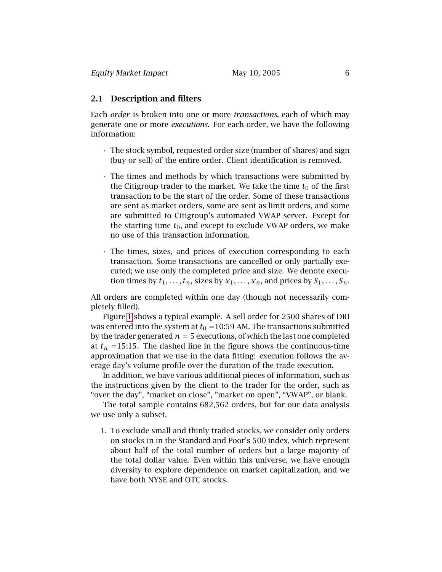## <span id="page-5-0"></span>2.1 Description and filters

Each *order* is broken into one or more *transactions*, each of which may generate one or more *executions*. For each order, we have the following information:

- The stock symbol, requested order size (number of shares) and sign (buy or sell) of the entire order. Client identification is removed.
- The times and methods by which transactions were submitted by the Citigroup trader to the market. We take the time  $t_0$  of the first transaction to be the start of the order. Some of these transactions are sent as market orders, some are sent as limit orders, and some are submitted to Citigroup's automated VWAP server. Except for the starting time  $t_0$ , and except to exclude VWAP orders, we make no use of this transaction information.
- The times, sizes, and prices of execution corresponding to each transaction. Some transactions are cancelled or only partially executed; we use only the completed price and size. We denote execution times by  $t_1, \ldots, t_n$ , sizes by  $x_1, \ldots, x_n$ , and prices by  $S_1, \ldots, S_n$ .

All orders are completed within one day (though not necessarily completely filled).

Figure [1](#page-6-0) shows a typical example. A sell order for 2500 shares of DRI was entered into the system at  $t_0$  =10:59 AM. The transactions submitted by the trader generated  $n = 5$  executions, of which the last one completed at  $t_n$  =15:15. The dashed line in the figure shows the continuous-time approximation that we use in the data fitting: execution follows the average day's volume profile over the duration of the trade execution.

In addition, we have various additional pieces of information, such as the instructions given by the client to the trader for the order, such as "over the day", "market on close", "market on open", "VWAP", or blank.

The total sample contains 682,562 orders, but for our data analysis we use only a subset.

1. To exclude small and thinly traded stocks, we consider only orders on stocks in in the Standard and Poor's 500 index, which represent about half of the total number of orders but a large majority of the total dollar value. Even within this universe, we have enough diversity to explore dependence on market capitalization, and we have both NYSE and OTC stocks.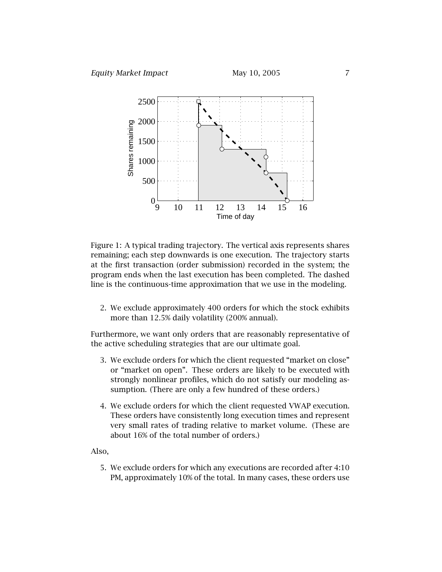

<span id="page-6-0"></span>Figure 1: A typical trading trajectory. The vertical axis represents shares remaining; each step downwards is one execution. The trajectory starts at the first transaction (order submission) recorded in the system; the program ends when the last execution has been completed. The dashed line is the continuous-time approximation that we use in the modeling.

2. We exclude approximately 400 orders for which the stock exhibits more than 12.5% daily volatility (200% annual).

Furthermore, we want only orders that are reasonably representative of the active scheduling strategies that are our ultimate goal.

- 3. We exclude orders for which the client requested "market on close" or "market on open". These orders are likely to be executed with strongly nonlinear profiles, which do not satisfy our modeling assumption. (There are only a few hundred of these orders.)
- 4. We exclude orders for which the client requested VWAP execution. These orders have consistently long execution times and represent very small rates of trading relative to market volume. (These are about 16% of the total number of orders.)

Also,

5. We exclude orders for which any executions are recorded after 4:10 PM, approximately 10% of the total. In many cases, these orders use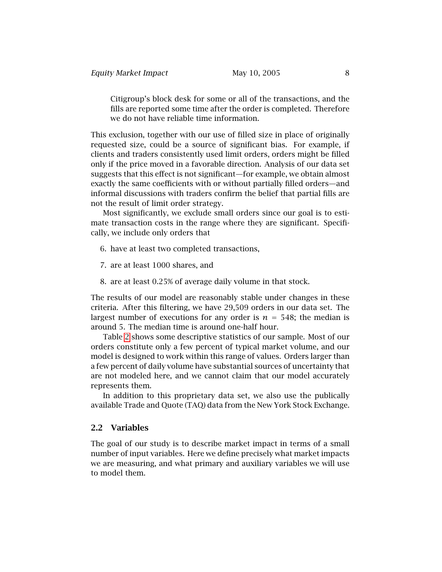Citigroup's block desk for some or all of the transactions, and the fills are reported some time after the order is completed. Therefore we do not have reliable time information.

This exclusion, together with our use of filled size in place of originally requested size, could be a source of significant bias. For example, if clients and traders consistently used limit orders, orders might be filled only if the price moved in a favorable direction. Analysis of our data set suggests that this effect is not significant—for example, we obtain almost exactly the same coefficients with or without partially filled orders—and informal discussions with traders confirm the belief that partial fills are not the result of limit order strategy.

Most significantly, we exclude small orders since our goal is to estimate transaction costs in the range where they are significant. Specifically, we include only orders that

- 6. have at least two completed transactions,
- 7. are at least 1000 shares, and
- 8. are at least 0.25% of average daily volume in that stock.

The results of our model are reasonably stable under changes in these criteria. After this filtering, we have 29,509 orders in our data set. The largest number of executions for any order is  $n = 548$ ; the median is around 5. The median time is around one-half hour.

Table [2](#page-8-0) shows some descriptive statistics of our sample. Most of our orders constitute only a few percent of typical market volume, and our model is designed to work within this range of values. Orders larger than a few percent of daily volume have substantial sources of uncertainty that are not modeled here, and we cannot claim that our model accurately represents them.

In addition to this proprietary data set, we also use the publically available Trade and Quote (TAQ) data from the New York Stock Exchange.

#### <span id="page-7-0"></span>2.2 Variables

The goal of our study is to describe market impact in terms of a small number of input variables. Here we define precisely what market impacts we are measuring, and what primary and auxiliary variables we will use to model them.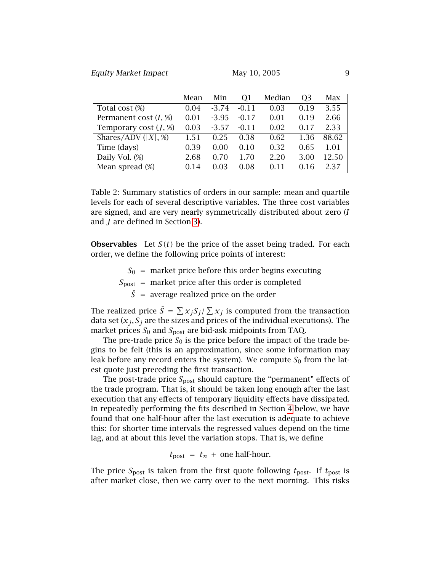|                                   | Mean | Min     | O1      | Median | O <sub>3</sub> | Max   |
|-----------------------------------|------|---------|---------|--------|----------------|-------|
| Total cost (%)                    | 0.04 | $-3.74$ | $-0.11$ | 0.03   | 0.19           | 3.55  |
| Permanent cost $(I, \mathcal{X})$ | 0.01 | $-3.95$ | $-0.17$ | 0.01   | 0.19           | 2.66  |
| Temporary cost $(J, \mathcal{X})$ | 0.03 | $-3.57$ | $-0.11$ | 0.02   | 0.17           | 2.33  |
| Shares/ADV $( X , \mathcal{X})$   | 1.51 | 0.25    | 0.38    | 0.62   | 1.36           | 88.62 |
| Time (days)                       | 0.39 | 0.00    | 0.10    | 0.32   | 0.65           | 1.01  |
| Daily Vol. (%)                    | 2.68 | 0.70    | 1.70    | 2.20   | 3.00           | 12.50 |
| Mean spread (%)                   | 0.14 | 0.03    | 0.08    | 0.11   | 0.16           | 2.37  |

<span id="page-8-0"></span>Table 2: Summary statistics of orders in our sample: mean and quartile levels for each of several descriptive variables. The three cost variables are signed, and are very nearly symmetrically distributed about zero (*I* and *J* are defined in Section [3\)](#page-12-0).

**Observables** Let  $S(t)$  be the price of the asset being traded. For each order, we define the following price points of interest:

- $S_0$  = market price before this order begins executing
- $S<sub>post</sub>$  = market price after this order is completed
	- $\overline{S}$  = average realized price on the order

The realized price  $\bar{S} = \sum x_j S_j / \sum x_j$  is computed from the transaction data set  $(x_j, S_j)$  are the sizes and prices of the individual executions). The market prices  $S_0$  and  $S_{\text{post}}$  are bid-ask midpoints from TAQ.

The pre-trade price  $S_0$  is the price before the impact of the trade begins to be felt (this is an approximation, since some information may leak before any record enters the system). We compute  $S_0$  from the latest quote just preceding the first transaction.

The post-trade price *S*<sub>post</sub> should capture the "permanent" effects of the trade program. That is, it should be taken long enough after the last execution that any effects of temporary liquidity effects have dissipated. In repeatedly performing the fits described in Section [4](#page-16-0) below, we have found that one half-hour after the last execution is adequate to achieve this: for shorter time intervals the regressed values depend on the time lag, and at about this level the variation stops. That is, we define

$$
t_{\text{post}} = t_n + \text{one half-hour.}
$$

The price  $S_{\text{post}}$  is taken from the first quote following  $t_{\text{post}}$ . If  $t_{\text{post}}$  is after market close, then we carry over to the next morning. This risks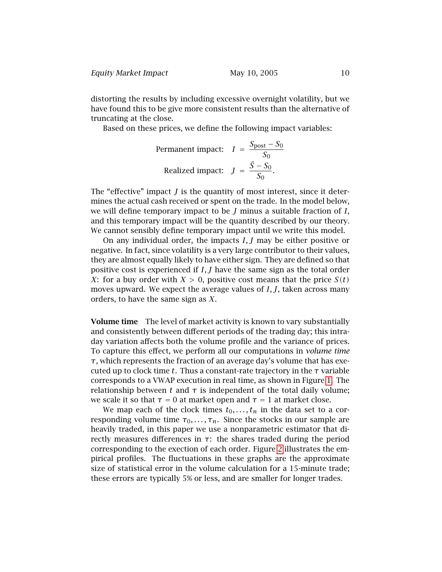distorting the results by including excessive overnight volatility, but we have found this to be give more consistent results than the alternative of truncating at the close.

Based on these prices, we define the following impact variables:

Permanent impact: 
$$
I = \frac{S_{\text{post}} - S_0}{S_0}
$$
  
Realized impact:  $J = \frac{\bar{S} - S_0}{S_0}$ .

The "effective" impact *J* is the quantity of most interest, since it determines the actual cash received or spent on the trade. In the model below, we will define temporary impact to be *J* minus a suitable fraction of *I*, and this temporary impact will be the quantity described by our theory. We cannot sensibly define temporary impact until we write this model.

On any individual order, the impacts *I, J* may be either positive or negative. In fact, since volatility is a very large contributor to their values, they are almost equally likely to have either sign. They are defined so that positive cost is experienced if *I, J* have the same sign as the total order *X*: for a buy order with  $X > 0$ , positive cost means that the price  $S(t)$ moves upward. We expect the average values of *I, J*, taken across many orders, to have the same sign as *X*.

Volume time The level of market activity is known to vary substantially and consistently between different periods of the trading day; this intraday variation affects both the volume profile and the variance of prices. To capture this effect, we perform all our computations in *volume time τ*, which represents the fraction of an average day's volume that has executed up to clock time *t*. Thus a constant-rate trajectory in the *τ* variable corresponds to a VWAP execution in real time, as shown in Figure [1.](#page-6-0) The relationship between  $t$  and  $\tau$  is independent of the total daily volume; we scale it so that  $\tau = 0$  at market open and  $\tau = 1$  at market close.

We map each of the clock times  $t_0, \ldots, t_n$  in the data set to a corresponding volume time  $\tau_0, \ldots, \tau_n$ . Since the stocks in our sample are heavily traded, in this paper we use a nonparametric estimator that directly measures differences in *τ*: the shares traded during the period corresponding to the exection of each order. Figure [2](#page-11-0) illustrates the empirical profiles. The fluctuations in these graphs are the approximate size of statistical error in the volume calculation for a 15-minute trade; these errors are typically 5% or less, and are smaller for longer trades.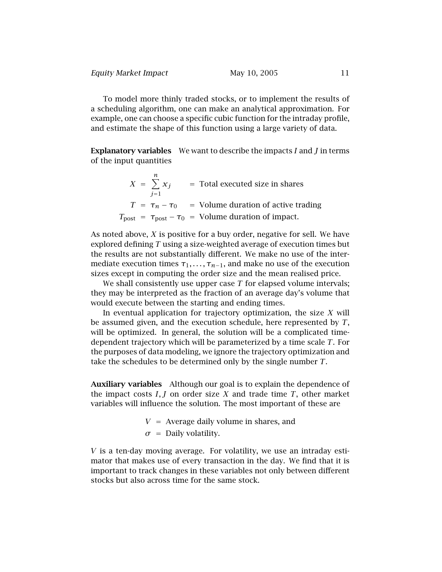To model more thinly traded stocks, or to implement the results of a scheduling algorithm, one can make an analytical approximation. For example, one can choose a specific cubic function for the intraday profile, and estimate the shape of this function using a large variety of data.

Explanatory variables We want to describe the impacts *I* and *J* in terms of the input quantities

$$
X = \sum_{j=1}^{n} x_j
$$
 = Total executed size in shares  

$$
T = \tau_n - \tau_0
$$
 = Volume duration of active trading  

$$
T_{\text{post}} = \tau_{\text{post}} - \tau_0
$$
 = Volume duration of impact.

As noted above, *X* is positive for a buy order, negative for sell. We have explored defining *T* using a size-weighted average of execution times but the results are not substantially different. We make no use of the intermediate execution times  $\tau_1, \ldots, \tau_{n-1}$ , and make no use of the execution sizes except in computing the order size and the mean realised price.

We shall consistently use upper case *T* for elapsed volume intervals; they may be interpreted as the fraction of an average day's volume that would execute between the starting and ending times.

In eventual application for trajectory optimization, the size *X* will be assumed given, and the execution schedule, here represented by *T*, will be optimized. In general, the solution will be a complicated timedependent trajectory which will be parameterized by a time scale *T*. For the purposes of data modeling, we ignore the trajectory optimization and take the schedules to be determined only by the single number *T*.

<span id="page-10-0"></span>Auxiliary variables Although our goal is to explain the dependence of the impact costs  $I, J$  on order size  $X$  and trade time  $T$ , other market variables will influence the solution. The most important of these are

> $V =$  Average daily volume in shares, and  $\sigma$  = Daily volatility.

*V* is a ten-day moving average. For volatility, we use an intraday estimator that makes use of every transaction in the day. We find that it is important to track changes in these variables not only between different stocks but also across time for the same stock.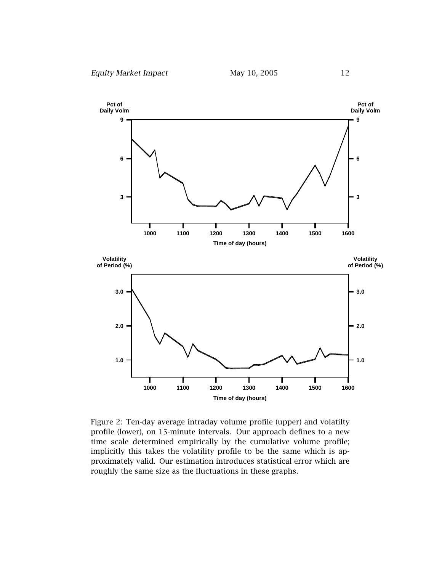**3**

**1.0**

**2.0**

**3.0**

**Volatility**

**6**

**9**

**Pct of**



<span id="page-11-0"></span>**1000 1100 1200 1300 1400 1500 1600 Time of day (hours)** Figure 2: Ten-day average intraday volume profile (upper) and volatilty profile (lower), on 15-minute intervals. Our approach defines to a new time scale determined empirically by the cumulative volume profile; implicitly this takes the volatility profile to be the same which is approximately valid. Our estimation introduces statistical error which are

roughly the same size as the fluctuations in these graphs.

**1.0**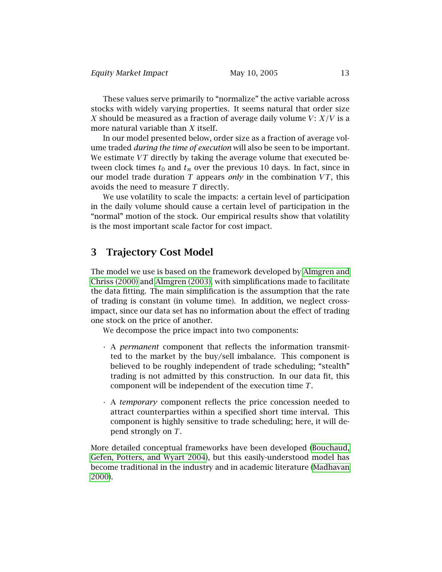<span id="page-12-1"></span>These values serve primarily to "normalize" the active variable across stocks with widely varying properties. It seems natural that order size *X* should be measured as a fraction of average daily volume *V*: *X/V* is a more natural variable than *X* itself.

In our model presented below, order size as a fraction of average volume traded *during the time of execution* will also be seen to be important. We estimate *VT* directly by taking the average volume that executed between clock times  $t_0$  and  $t_n$  over the previous 10 days. In fact, since in our model trade duration *T* appears *only* in the combination *V T*, this avoids the need to measure *T* directly.

We use volatility to scale the impacts: a certain level of participation in the daily volume should cause a certain level of participation in the "normal" motion of the stock. Our empirical results show that volatility is the most important scale factor for cost impact.

## <span id="page-12-0"></span>3 Trajectory Cost Model

The model we use is based on the framework developed by [Almgren and](#page-23-3) [Chriss \(2000\)](#page-23-3) and [Almgren \(2003\),](#page-23-4) with simplifications made to facilitate the data fitting. The main simplification is the assumption that the rate of trading is constant (in volume time). In addition, we neglect crossimpact, since our data set has no information about the effect of trading one stock on the price of another.

We decompose the price impact into two components:

- A *permanent* component that reflects the information transmitted to the market by the buy/sell imbalance. This component is believed to be roughly independent of trade scheduling; "stealth" trading is not admitted by this construction. In our data fit, this component will be independent of the execution time *T*.
- A *temporary* component reflects the price concession needed to attract counterparties within a specified short time interval. This component is highly sensitive to trade scheduling; here, it will depend strongly on *T*.

More detailed conceptual frameworks have been developed [\(Bouchaud,](#page-23-2) [Gefen, Potters, and Wyart 2004\)](#page-23-2), but this easily-understood model has become traditional in the industry and in academic literature [\(Madhavan](#page-25-12) [2000\)](#page-25-12).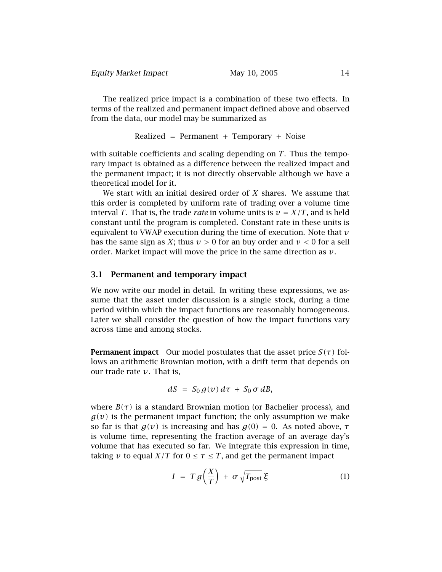The realized price impact is a combination of these two effects. In terms of the realized and permanent impact defined above and observed from the data, our model may be summarized as

$$
Realized = Permanent + Temporary + Noise
$$

with suitable coefficients and scaling depending on *T*. Thus the temporary impact is obtained as a difference between the realized impact and the permanent impact; it is not directly observable although we have a theoretical model for it.

We start with an initial desired order of *X* shares. We assume that this order is completed by uniform rate of trading over a volume time interval *T*. That is, the trade *rate* in volume units is  $v = X/T$ , and is held constant until the program is completed. Constant rate in these units is equivalent to VWAP execution during the time of execution. Note that *v* has the same sign as *X*; thus  $v > 0$  for an buy order and  $v < 0$  for a sell order. Market impact will move the price in the same direction as *v*.

#### <span id="page-13-0"></span>3.1 Permanent and temporary impact

We now write our model in detail. In writing these expressions, we assume that the asset under discussion is a single stock, during a time period within which the impact functions are reasonably homogeneous. Later we shall consider the question of how the impact functions vary across time and among stocks.

Permanent impact Our model postulates that the asset price *S(τ)* follows an arithmetic Brownian motion, with a drift term that depends on our trade rate *v*. That is,

$$
dS = S_0 g(v) d\tau + S_0 \sigma dB,
$$

where  $B(\tau)$  is a standard Brownian motion (or Bachelier process), and  $g(v)$  is the permanent impact function; the only assumption we make so far is that  $g(v)$  is increasing and has  $g(0) = 0$ . As noted above,  $\tau$ is volume time, representing the fraction average of an average day's volume that has executed so far. We integrate this expression in time, taking *v* to equal  $X/T$  for  $0 \le \tau \le T$ , and get the permanent impact

<span id="page-13-1"></span>
$$
I = T g\left(\frac{X}{T}\right) + \sigma \sqrt{T_{\text{post}}} \xi \tag{1}
$$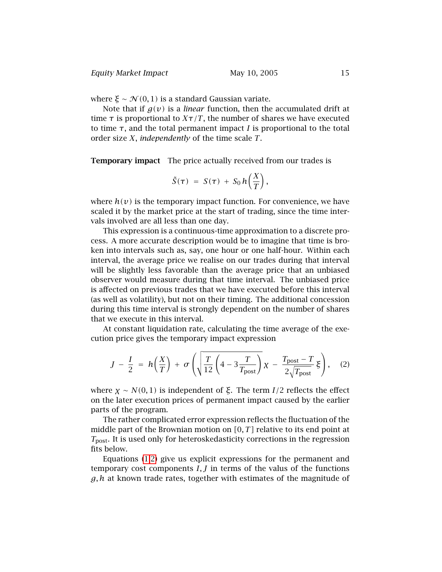where  $\xi \sim \mathcal{N}(0, 1)$  is a standard Gaussian variate.

Note that if *g(v)* is a *linear* function, then the accumulated drift at time  $\tau$  is proportional to  $X\tau/T$ , the number of shares we have executed to time *τ*, and the total permanent impact *I* is proportional to the total order size *X*, *independently* of the time scale *T*.

**Temporary impact** The price actually received from our trades is

$$
\tilde{S}(\tau) = S(\tau) + S_0 h\left(\frac{X}{T}\right),
$$

where  $h(v)$  is the temporary impact function. For convenience, we have scaled it by the market price at the start of trading, since the time intervals involved are all less than one day.

This expression is a continuous-time approximation to a discrete process. A more accurate description would be to imagine that time is broken into intervals such as, say, one hour or one half-hour. Within each interval, the average price we realise on our trades during that interval will be slightly less favorable than the average price that an unbiased observer would measure during that time interval. The unbiased price is affected on previous trades that we have executed before this interval (as well as volatility), but not on their timing. The additional concession during this time interval is strongly dependent on the number of shares that we execute in this interval.

At constant liquidation rate, calculating the time average of the execution price gives the temporary impact expression

<span id="page-14-0"></span>
$$
J - \frac{I}{2} = h\left(\frac{X}{T}\right) + \sigma\left(\sqrt{\frac{T}{12}\left(4 - 3\frac{T}{T_{\text{post}}}\right)}\chi - \frac{T_{\text{post}} - T}{2\sqrt{T_{\text{post}}}}\xi\right), \quad (2)
$$

where *χ* ∼ *N*(0*,* 1) is independent of *ξ*. The term *I*/2 reflects the effect on the later execution prices of permanent impact caused by the earlier parts of the program.

The rather complicated error expression reflects the fluctuation of the middle part of the Brownian motion on  $[0, T]$  relative to its end point at *T*post. It is used only for heteroskedasticity corrections in the regression fits below.

Equations [\(1,](#page-13-1)[2\)](#page-14-0) give us explicit expressions for the permanent and temporary cost components *I, J* in terms of the valus of the functions *g, h* at known trade rates, together with estimates of the magnitude of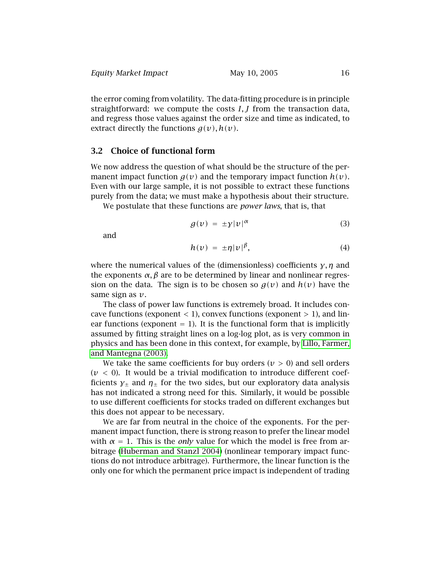<span id="page-15-1"></span>the error coming from volatility. The data-fitting procedure is in principle straightforward: we compute the costs *I, J* from the transaction data, and regress those values against the order size and time as indicated, to extract directly the functions  $g(v)$ ,  $h(v)$ .

## <span id="page-15-0"></span>3.2 Choice of functional form

We now address the question of what should be the structure of the permanent impact function  $g(v)$  and the temporary impact function  $h(v)$ . Even with our large sample, it is not possible to extract these functions purely from the data; we must make a hypothesis about their structure.

We postulate that these functions are *power laws*, that is, that

$$
g(v) = \pm y|v|^\alpha \tag{3}
$$

and

$$
h(v) = \pm \eta |v|^\beta, \tag{4}
$$

where the numerical values of the (dimensionless) coefficients *γ, η* and the exponents  $\alpha$ ,  $\beta$  are to be determined by linear and nonlinear regression on the data. The sign is to be chosen so  $g(v)$  and  $h(v)$  have the same sign as *v*.

The class of power law functions is extremely broad. It includes concave functions (exponent *<* 1), convex functions (exponent *>* 1), and linear functions (exponent  $= 1$ ). It is the functional form that is implicitly assumed by fitting straight lines on a log-log plot, as is very common in physics and has been done in this context, for example, by [Lillo, Farmer,](#page-25-6) [and Mantegna \(2003\).](#page-25-6)

We take the same coefficients for buy orders  $(v > 0)$  and sell orders  $(v < 0)$ . It would be a trivial modification to introduce different coefficients  $y_{\pm}$  and  $\eta_{\pm}$  for the two sides, but our exploratory data analysis has not indicated a strong need for this. Similarly, it would be possible to use different coefficients for stocks traded on different exchanges but this does not appear to be necessary.

We are far from neutral in the choice of the exponents. For the permanent impact function, there is strong reason to prefer the linear model with  $\alpha = 1$ . This is the *only* value for which the model is free from arbitrage [\(Huberman and Stanzl 2004\)](#page-25-13) (nonlinear temporary impact functions do not introduce arbitrage). Furthermore, the linear function is the only one for which the permanent price impact is independent of trading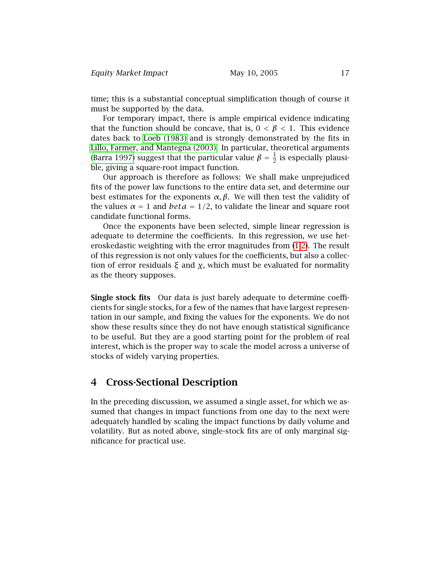<span id="page-16-1"></span>time; this is a substantial conceptual simplification though of course it must be supported by the data.

For temporary impact, there is ample empirical evidence indicating that the function should be concave, that is,  $0 < \beta < 1$ . This evidence dates back to [Loeb \(1983\)](#page-25-14) and is strongly demonstrated by the fits in [Lillo, Farmer, and Mantegna \(2003\).](#page-25-6) In particular, theoretical arguments [\(Barra 1997\)](#page-23-5) suggest that the particular value  $\beta = \frac{1}{2}$  $\frac{1}{2}$  is especially plausible, giving a square-root impact function.

Our approach is therefore as follows: We shall make unprejudiced fits of the power law functions to the entire data set, and determine our best estimates for the exponents  $\alpha$ ,  $\beta$ . We will then test the validity of the values  $α = 1$  and  $beta = 1/2$ , to validate the linear and square root candidate functional forms.

Once the exponents have been selected, simple linear regression is adequate to determine the coefficients. In this regression, we use heteroskedastic weighting with the error magnitudes from [\(1](#page-13-1)[,2\)](#page-14-0). The result of this regression is not only values for the coefficients, but also a collection of error residuals *ξ* and *χ*, which must be evaluated for normality as the theory supposes.

Single stock fits Our data is just barely adequate to determine coefficients for single stocks, for a few of the names that have largest representation in our sample, and fixing the values for the exponents. We do not show these results since they do not have enough statistical significance to be useful. But they are a good starting point for the problem of real interest, which is the proper way to scale the model across a universe of stocks of widely varying properties.

## <span id="page-16-0"></span>4 Cross-Sectional Description

In the preceding discussion, we assumed a single asset, for which we assumed that changes in impact functions from one day to the next were adequately handled by scaling the impact functions by daily volume and volatility. But as noted above, single-stock fits are of only marginal significance for practical use.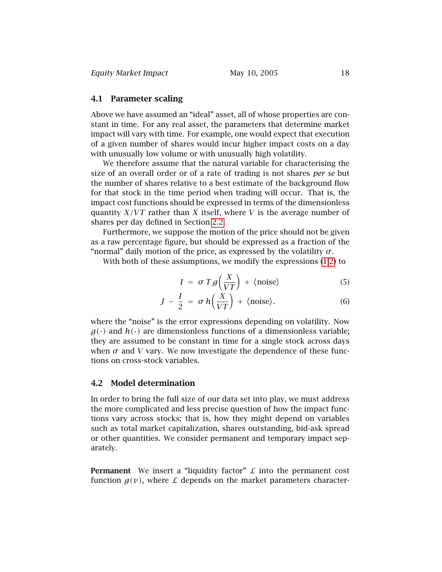## <span id="page-17-0"></span>4.1 Parameter scaling

Above we have assumed an "ideal" asset, all of whose properties are constant in time. For any real asset, the parameters that determine market impact will vary with time. For example, one would expect that execution of a given number of shares would incur higher impact costs on a day with unusually low volume or with unusually high volatility.

We therefore assume that the natural variable for characterising the size of an overall order or of a rate of trading is not shares *per se* but the number of shares relative to a best estimate of the background flow for that stock in the time period when trading will occur. That is, the impact cost functions should be expressed in terms of the dimensionless quantity  $X/VT$  rather than  $X$  itself, where  $V$  is the average number of shares per day defined in Section [2.2.](#page-10-0)

Furthermore, we suppose the motion of the price should not be given as a raw percentage figure, but should be expressed as a fraction of the "normal" daily motion of the price, as expressed by the volatility  $\sigma$ .

With both of these assumptions, we modify the expressions [\(1,](#page-13-1)[2\)](#page-14-0) to

$$
I = \sigma T g \left(\frac{X}{VT}\right) + \langle noise \rangle \tag{5}
$$

$$
J - \frac{I}{2} = \sigma h \left( \frac{X}{VT} \right) + \langle noise \rangle. \tag{6}
$$

where the "noise" is the error expressions depending on volatility. Now  $g(\cdot)$  and  $h(\cdot)$  are dimensionless functions of a dimensionless variable; they are assumed to be constant in time for a single stock across days when  $\sigma$  and *V* vary. We now investigate the dependence of these functions on cross-stock variables.

#### <span id="page-17-1"></span>4.2 Model determination

In order to bring the full size of our data set into play, we must address the more complicated and less precise question of how the impact functions vary across stocks; that is, how they might depend on variables such as total market capitalization, shares outstanding, bid-ask spread or other quantities. We consider permanent and temporary impact separately.

**Permanent** We insert a "liquidity factor"  $\mathcal{L}$  into the permanent cost function  $g(v)$ , where L depends on the market parameters character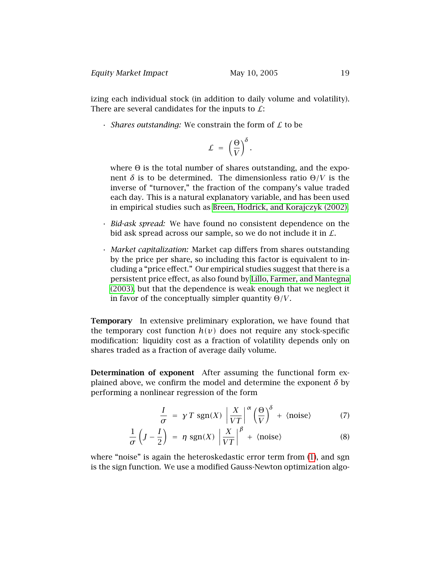<span id="page-18-2"></span>izing each individual stock (in addition to daily volume and volatility). There are several candidates for the inputs to  $\mathcal{L}$ :

 $\cdot$  *Shares outstanding:* We constrain the form of  $\mathcal L$  to be

$$
\mathcal{L} = \left(\frac{\Theta}{V}\right)^{\delta}.
$$

where Θ is the total number of shares outstanding, and the exponent *δ* is to be determined. The dimensionless ratio Θ*/V* is the inverse of "turnover," the fraction of the company's value traded each day. This is a natural explanatory variable, and has been used in empirical studies such as [Breen, Hodrick, and Korajczyk \(2002\).](#page-25-2)

- *Bid-ask spread:* We have found no consistent dependence on the bid ask spread across our sample, so we do not include it in  $\mathcal{L}$ .
- *Market capitalization:* Market cap differs from shares outstanding by the price per share, so including this factor is equivalent to including a "price effect." Our empirical studies suggest that there is a persistent price effect, as also found by [Lillo, Farmer, and Mantegna](#page-25-6) [\(2003\),](#page-25-6) but that the dependence is weak enough that we neglect it in favor of the conceptually simpler quantity Θ*/V*.

Temporary In extensive preliminary exploration, we have found that the temporary cost function  $h(v)$  does not require any stock-specific modification: liquidity cost as a fraction of volatility depends only on shares traded as a fraction of average daily volume.

Determination of exponent After assuming the functional form explained above, we confirm the model and determine the exponent  $\delta$  by performing a nonlinear regression of the form

<span id="page-18-1"></span><span id="page-18-0"></span>
$$
\frac{I}{\sigma} = \gamma T \text{ sgn}(X) \left| \frac{X}{VT} \right|^\alpha \left( \frac{\Theta}{V} \right)^\delta + \langle \text{noise} \rangle \tag{7}
$$

$$
\frac{1}{\sigma} \left( J - \frac{I}{2} \right) = \eta \, \text{sgn}(X) \, \left| \frac{X}{VT} \right|^\beta + \langle \text{noise} \rangle \tag{8}
$$

where "noise" is again the heteroskedastic error term from [\(1\)](#page-13-1), and sgn is the sign function. We use a modified Gauss-Newton optimization algo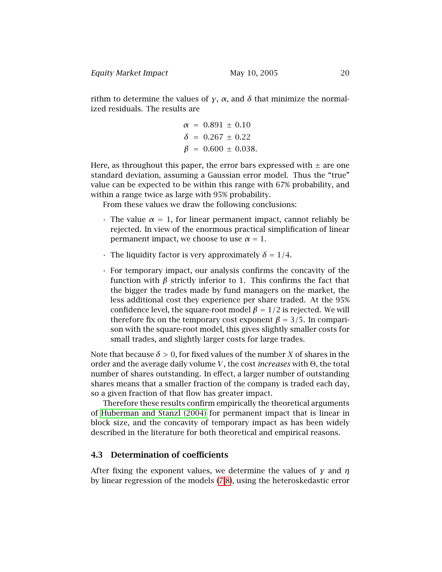<span id="page-19-1"></span>rithm to determine the values of *γ*,  $\alpha$ , and  $\delta$  that minimize the normalized residuals. The results are

$$
\alpha = 0.891 \pm 0.10
$$
  
\n
$$
\delta = 0.267 \pm 0.22
$$
  
\n
$$
\beta = 0.600 \pm 0.038.
$$

Here, as throughout this paper, the error bars expressed with  $\pm$  are one standard deviation, assuming a Gaussian error model. Thus the "true" value can be expected to be within this range with 67% probability, and within a range twice as large with 95% probability.

From these values we draw the following conclusions:

- The value  $\alpha = 1$ , for linear permanent impact, cannot reliably be rejected. In view of the enormous practical simplification of linear permanent impact, we choose to use  $\alpha = 1$ .
- $\cdot$  The liquidity factor is very approximately  $\delta = 1/4$ .
- For temporary impact, our analysis confirms the concavity of the function with  $\beta$  strictly inferior to 1. This confirms the fact that the bigger the trades made by fund managers on the market, the less additional cost they experience per share traded. At the 95% confidence level, the square-root model  $β = 1/2$  is rejected. We will therefore fix on the temporary cost exponent  $\beta = 3/5$ . In comparison with the square-root model, this gives slightly smaller costs for small trades, and slightly larger costs for large trades.

Note that because  $\delta > 0$ , for fixed values of the number X of shares in the order and the average daily volume *V*, the cost *increases* with Θ, the total number of shares outstanding. In effect, a larger number of outstanding shares means that a smaller fraction of the company is traded each day, so a given fraction of that flow has greater impact.

Therefore these results confirm empirically the theoretical arguments of [Huberman and Stanzl \(2004\)](#page-25-13) for permanent impact that is linear in block size, and the concavity of temporary impact as has been widely described in the literature for both theoretical and empirical reasons.

## <span id="page-19-0"></span>4.3 Determination of coefficients

After fixing the exponent values, we determine the values of *γ* and *η* by linear regression of the models [\(7,](#page-18-0)[8\)](#page-18-1), using the heteroskedastic error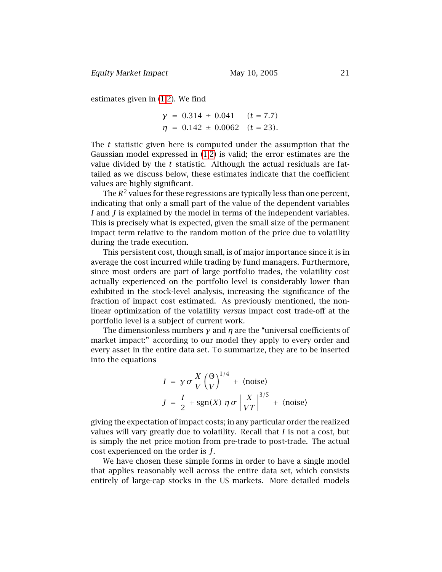estimates given in [\(1](#page-13-1)[,2\)](#page-14-0). We find

$$
\gamma = 0.314 \pm 0.041 \quad (t = 7.7)
$$
  

$$
\eta = 0.142 \pm 0.0062 \quad (t = 23).
$$

The *t* statistic given here is computed under the assumption that the Gaussian model expressed in [\(1,](#page-13-1)[2\)](#page-14-0) is valid; the error estimates are the value divided by the *t* statistic. Although the actual residuals are fattailed as we discuss below, these estimates indicate that the coefficient values are highly significant.

The  $R^2$  values for these regressions are typically less than one percent, indicating that only a small part of the value of the dependent variables *I* and *J* is explained by the model in terms of the independent variables. This is precisely what is expected, given the small size of the permanent impact term relative to the random motion of the price due to volatility during the trade execution.

This persistent cost, though small, is of major importance since it is in average the cost incurred while trading by fund managers. Furthermore, since most orders are part of large portfolio trades, the volatility cost actually experienced on the portfolio level is considerably lower than exhibited in the stock-level analysis, increasing the significance of the fraction of impact cost estimated. As previously mentioned, the nonlinear optimization of the volatility *versus* impact cost trade-off at the portfolio level is a subject of current work.

The dimensionless numbers *γ* and *η* are the "universal coefficients of market impact:" according to our model they apply to every order and every asset in the entire data set. To summarize, they are to be inserted into the equations

$$
I = \gamma \sigma \frac{X}{V} \left(\frac{\Theta}{V}\right)^{1/4} + \langle \text{noise} \rangle
$$
  

$$
J = \frac{I}{2} + \text{sgn}(X) \eta \sigma \left|\frac{X}{VT}\right|^{3/5} + \langle \text{noise} \rangle
$$

giving the expectation of impact costs; in any particular order the realized values will vary greatly due to volatility. Recall that *I* is not a cost, but is simply the net price motion from pre-trade to post-trade. The actual cost experienced on the order is *J*.

We have chosen these simple forms in order to have a single model that applies reasonably well across the entire data set, which consists entirely of large-cap stocks in the US markets. More detailed models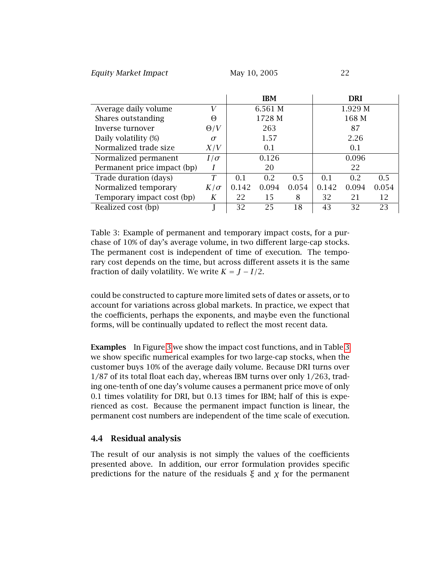Equity Market Impact May 10, 2005 22

|                             |            | <b>IBM</b> |       |       | <b>DRI</b> |       |               |
|-----------------------------|------------|------------|-------|-------|------------|-------|---------------|
| Average daily volume        |            | 6.561 M    |       |       | 1.929 M    |       |               |
| Shares outstanding          | $\Theta$   | 1728 M     |       | 168 M |            |       |               |
| Inverse turnover            | $\Theta/V$ | 263        |       | 87    |            |       |               |
| Daily volatility (%)        | $\sigma$   | 1.57       |       | 2.26  |            |       |               |
| Normalized trade size       | X/V        | 0.1        |       |       | 0.1        |       |               |
| Normalized permanent        | $I/\sigma$ | 0.126      |       | 0.096 |            |       |               |
| Permanent price impact (bp) |            | 20         |       | 22    |            |       |               |
| Trade duration (days)       | T          | 0.1        | 0.2   | 0.5   | 0.1        | 0.2   | $0.5^{\circ}$ |
| Normalized temporary        | $K/\sigma$ | 0.142      | 0.094 | 0.054 | 0.142      | 0.094 | 0.054         |
| Temporary impact cost (bp)  | K          | 22         | 15    | 8     | 32         | 21    | 12            |
| Realized cost (bp)          |            | 32         | 25    | 18    | 43         | 32    | 23            |

<span id="page-21-1"></span>Table 3: Example of permanent and temporary impact costs, for a purchase of 10% of day's average volume, in two different large-cap stocks. The permanent cost is independent of time of execution. The temporary cost depends on the time, but across different assets it is the same fraction of daily volatility. We write  $K = J - I/2$ .

could be constructed to capture more limited sets of dates or assets, or to account for variations across global markets. In practice, we expect that the coefficients, perhaps the exponents, and maybe even the functional forms, will be continually updated to reflect the most recent data.

Examples In Figure [3](#page-22-0) we show the impact cost functions, and in Table [3](#page-21-1) we show specific numerical examples for two large-cap stocks, when the customer buys 10% of the average daily volume. Because DRI turns over 1/87 of its total float each day, whereas IBM turns over only 1/263, trading one-tenth of one day's volume causes a permanent price move of only 0.1 times volatility for DRI, but 0.13 times for IBM; half of this is experienced as cost. Because the permanent impact function is linear, the permanent cost numbers are independent of the time scale of execution.

## <span id="page-21-0"></span>4.4 Residual analysis

The result of our analysis is not simply the values of the coefficients presented above. In addition, our error formulation provides specific predictions for the nature of the residuals *ξ* and *χ* for the permanent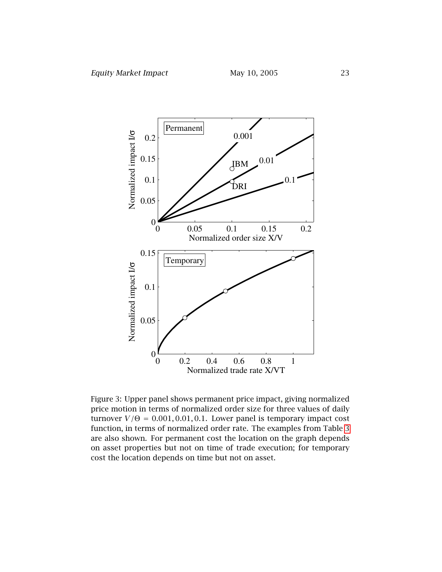

<span id="page-22-0"></span>Figure 3: Upper panel shows permanent price impact, giving normalized price motion in terms of normalized order size for three values of daily turnover  $V/\Theta = 0.001, 0.01, 0.1$ . Lower panel is temporary impact cost function, in terms of normalized order rate. The examples from Table [3](#page-21-1) are also shown. For permanent cost the location on the graph depends on asset properties but not on time of trade execution; for temporary cost the location depends on time but not on asset.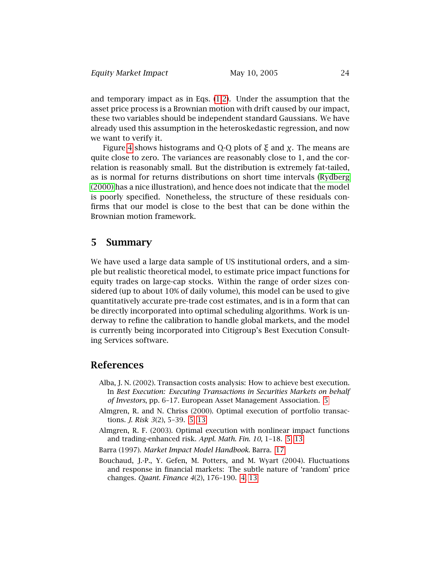<span id="page-23-6"></span>and temporary impact as in Eqs. [\(1](#page-13-1)[,2\)](#page-14-0). Under the assumption that the asset price process is a Brownian motion with drift caused by our impact, these two variables should be independent standard Gaussians. We have already used this assumption in the heteroskedastic regression, and now we want to verify it.

Figure [4](#page-24-0) shows histograms and Q-Q plots of *ξ* and *χ*. The means are quite close to zero. The variances are reasonably close to 1, and the correlation is reasonably small. But the distribution is extremely fat-tailed, as is normal for returns distributions on short time intervals [\(Rydberg](#page-25-15) [\(2000\)](#page-25-15) has a nice illustration), and hence does not indicate that the model is poorly specified. Nonetheless, the structure of these residuals confirms that our model is close to the best that can be done within the Brownian motion framework.

## <span id="page-23-0"></span>5 Summary

We have used a large data sample of US institutional orders, and a simple but realistic theoretical model, to estimate price impact functions for equity trades on large-cap stocks. Within the range of order sizes considered (up to about 10% of daily volume), this model can be used to give quantitatively accurate pre-trade cost estimates, and is in a form that can be directly incorporated into optimal scheduling algorithms. Work is underway to refine the calibration to handle global markets, and the model is currently being incorporated into Citigroup's Best Execution Consulting Services software.

## References

- <span id="page-23-1"></span>Alba, J. N. (2002). Transaction costs analysis: How to achieve best execution. In *Best Execution: Executing Transactions in Securities Markets on behalf of Investors*, pp. 6–17. European Asset Management Association. [5](#page-4-1)
- <span id="page-23-3"></span>Almgren, R. and N. Chriss (2000). Optimal execution of portfolio transactions. *J. Risk 3*(2), 5–39. [5,](#page-4-1) [13](#page-12-1)
- <span id="page-23-4"></span>Almgren, R. F. (2003). Optimal execution with nonlinear impact functions and trading-enhanced risk. *Appl. Math. Fin. 10*, 1–18. [5,](#page-4-1) [13](#page-12-1)
- <span id="page-23-5"></span>Barra (1997). *Market Impact Model Handbook*. Barra. [17](#page-16-1)
- <span id="page-23-2"></span>Bouchaud, J.-P., Y. Gefen, M. Potters, and M. Wyart (2004). Fluctuations and response in financial markets: The subtle nature of 'random' price changes. *Quant. Finance 4*(2), 176–190. [4,](#page-3-1) [13](#page-12-1)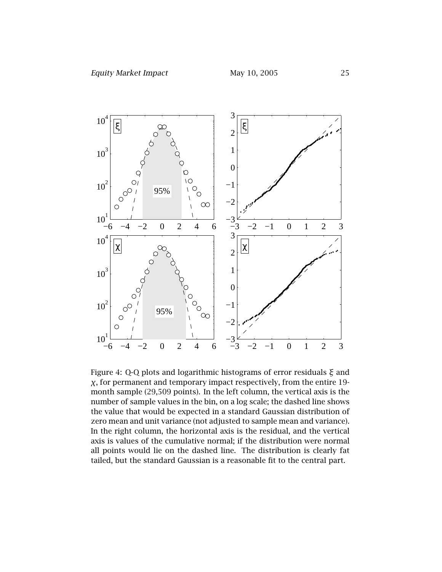

<span id="page-24-0"></span>Figure 4: Q-Q plots and logarithmic histograms of error residuals *ξ* and *χ*, for permanent and temporary impact respectively, from the entire 19 month sample (29,509 points). In the left column, the vertical axis is the number of sample values in the bin, on a log scale; the dashed line shows the value that would be expected in a standard Gaussian distribution of zero mean and unit variance (not adjusted to sample mean and variance). In the right column, the horizontal axis is the residual, and the vertical axis is values of the cumulative normal; if the distribution were normal all points would lie on the dashed line. The distribution is clearly fat tailed, but the standard Gaussian is a reasonable fit to the central part.